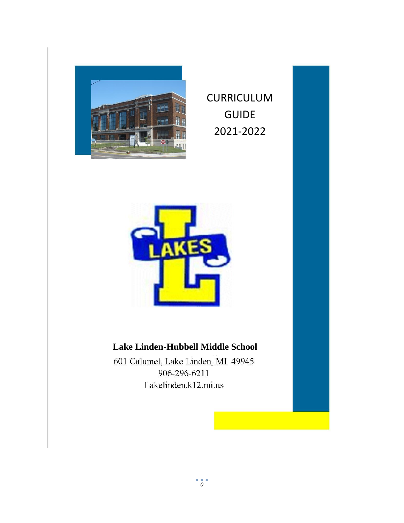

CURRICULUM GUIDE 2021-2022



### **Lake Linden-Hubbell Middle School**

601 Calumet, Lake Linden, MI 49945 906-296-6211 Lakelinden.k12.mi.us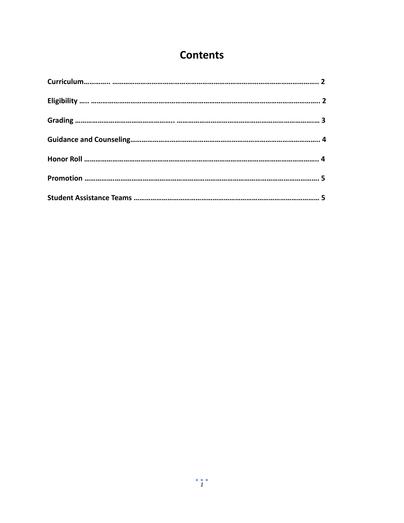# **Contents**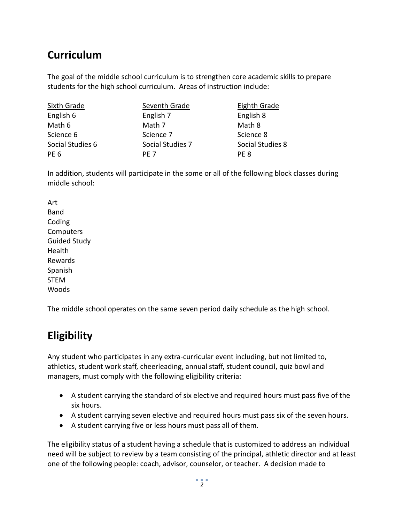# **Curriculum**

The goal of the middle school curriculum is to strengthen core academic skills to prepare students for the high school curriculum. Areas of instruction include:

| <b>Sixth Grade</b> | Seventh Grade    | Eighth Grade     |
|--------------------|------------------|------------------|
| English 6          | English 7        | English 8        |
| Math 6             | Math 7           | Math 8           |
| Science 6          | Science 7        | Science 8        |
| Social Studies 6   | Social Studies 7 | Social Studies 8 |
| PE <sub>6</sub>    | PF <sub>7</sub>  | PE 8             |

In addition, students will participate in the some or all of the following block classes during middle school:

Art Band Coding **Computers** Guided Study Health Rewards Spanish STEM Woods

The middle school operates on the same seven period daily schedule as the high school.

# **Eligibility**

Any student who participates in any extra-curricular event including, but not limited to, athletics, student work staff, cheerleading, annual staff, student council, quiz bowl and managers, must comply with the following eligibility criteria:

- A student carrying the standard of six elective and required hours must pass five of the six hours.
- A student carrying seven elective and required hours must pass six of the seven hours.
- A student carrying five or less hours must pass all of them.

The eligibility status of a student having a schedule that is customized to address an individual need will be subject to review by a team consisting of the principal, athletic director and at least one of the following people: coach, advisor, counselor, or teacher. A decision made to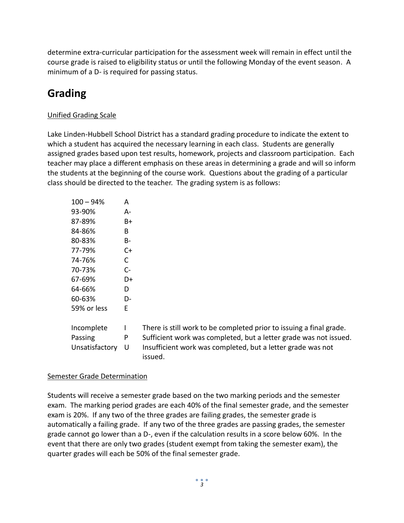determine extra-curricular participation for the assessment week will remain in effect until the course grade is raised to eligibility status or until the following Monday of the event season. A minimum of a D- is required for passing status.

# **Grading**

#### Unified Grading Scale

Lake Linden-Hubbell School District has a standard grading procedure to indicate the extent to which a student has acquired the necessary learning in each class. Students are generally assigned grades based upon test results, homework, projects and classroom participation. Each teacher may place a different emphasis on these areas in determining a grade and will so inform the students at the beginning of the course work. Questions about the grading of a particular class should be directed to the teacher. The grading system is as follows:

| $100 - 94%$    | А  |
|----------------|----|
| 93-90%         | А- |
| 87-89%         | Β+ |
| 84-86%         | B  |
| 80-83%         | B- |
| 77-79%         | C+ |
| 74-76%         | C  |
| 70-73%         | C- |
| 67-69%         | D+ |
| 64-66%         | D  |
| 60-63%         | D- |
| 59% or less    | E  |
| Incomplete     | ı  |
| Passing        | P  |
| Unsatisfactory | U  |
|                |    |

There is still work to be completed prior to issuing a final grade. Sufficient work was completed, but a letter grade was not issued. Insufficient work was completed, but a letter grade was not issued.

#### Semester Grade Determination

Students will receive a semester grade based on the two marking periods and the semester exam. The marking period grades are each 40% of the final semester grade, and the semester exam is 20%. If any two of the three grades are failing grades, the semester grade is automatically a failing grade. If any two of the three grades are passing grades, the semester grade cannot go lower than a D-, even if the calculation results in a score below 60%. In the event that there are only two grades (student exempt from taking the semester exam), the quarter grades will each be 50% of the final semester grade.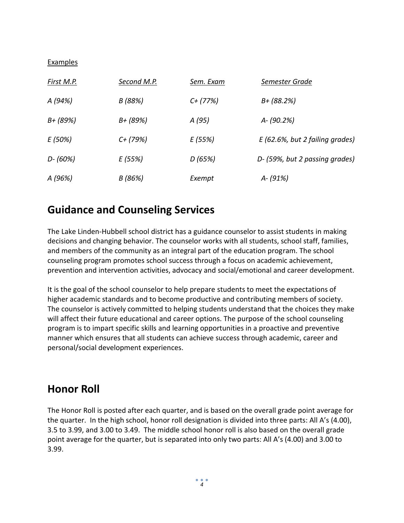#### Examples

| <u>First M.P.</u> | Second M.P. | Sem. Exam  | Semester Grade                  |
|-------------------|-------------|------------|---------------------------------|
| A (94%)           | B (88%)     | $C+$ (77%) | $B + (88.2%)$                   |
| $B + (89%)$       | $B + (89%)$ | A (95)     | A-(90.2%)                       |
| E (50%)           | $C+$ (79%)  | E (55%)    | E (62.6%, but 2 failing grades) |
| $D - (60%)$       | E (55%)     | D(65%)     | D- (59%, but 2 passing grades)  |
| A (96%)           | B (86%)     | Exempt     | $A - (91%)$                     |

### **Guidance and Counseling Services**

The Lake Linden-Hubbell school district has a guidance counselor to assist students in making decisions and changing behavior. The counselor works with all students, school staff, families, and members of the community as an integral part of the education program. The school counseling program promotes school success through a focus on academic achievement, prevention and intervention activities, advocacy and social/emotional and career development.

It is the goal of the school counselor to help prepare students to meet the expectations of higher academic standards and to become productive and contributing members of society. The counselor is actively committed to helping students understand that the choices they make will affect their future educational and career options. The purpose of the school counseling program is to impart specific skills and learning opportunities in a proactive and preventive manner which ensures that all students can achieve success through academic, career and personal/social development experiences.

### **Honor Roll**

The Honor Roll is posted after each quarter, and is based on the overall grade point average for the quarter. In the high school, honor roll designation is divided into three parts: All A's (4.00), 3.5 to 3.99, and 3.00 to 3.49. The middle school honor roll is also based on the overall grade point average for the quarter, but is separated into only two parts: All A's (4.00) and 3.00 to 3.99.